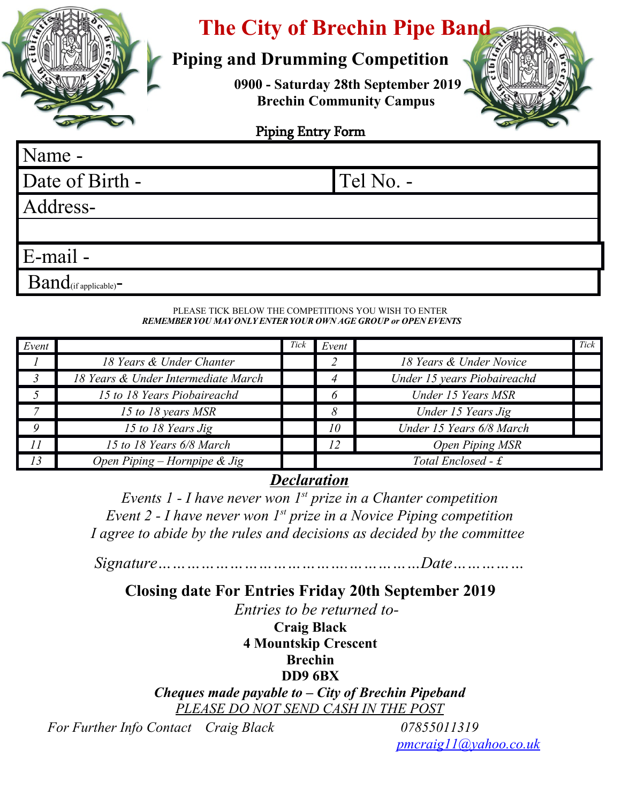

# **The City of Brechin Pipe Band**

## **Piping and Drumming Competition**

**0900 - Saturday 28th September 2019 Brechin Community Campus** 



### Piping Entry Form

# Name - Date of Birth - Tel No. -Address-E-mail -  $Band$ (if applicable) $-$

#### PLEASE TICK BELOW THE COMPETITIONS YOU WISH TO ENTER *REMEMBER YOU MAY ONLY ENTER YOUR OWN AGE GROUP or OPEN EVENTS*

| Event |                                     | Tick | Event        |                             | Tick |
|-------|-------------------------------------|------|--------------|-----------------------------|------|
|       | 18 Years & Under Chanter            |      |              | 18 Years & Under Novice     |      |
|       | 18 Years & Under Intermediate March |      |              | Under 15 years Piobaireachd |      |
|       | 15 to 18 Years Piobaireachd         |      | <sup>6</sup> | Under 15 Years MSR          |      |
|       | 15 to 18 years MSR                  |      | 8            | Under 15 Years Jig          |      |
| O     | 15 to 18 Years Jig                  |      | 10           | Under 15 Years 6/8 March    |      |
| 11    | 15 to 18 Years 6/8 March            |      |              | <b>Open Piping MSR</b>      |      |
| 13    | Open Piping – Hornpipe $\&$ Jig     |      |              | Total Enclosed - $\pounds$  |      |

## *Declaration*

*Events 1 - I have never won 1st prize in a Chanter competition Event 2 - I have never won 1st prize in a Novice Piping competition I agree to abide by the rules and decisions as decided by the committee* 

*Signature………………………………….……………Date……………*

## **Closing date For Entries Friday 20th September 2019**

 *Entries to be returned to-*

**Craig Black**

**4 Mountskip Crescent**

#### **Brechin**

#### **DD9 6BX**

*Cheques made payable to – City of Brechin Pipeband PLEASE DO NOT SEND CASH IN THE POST*

 *For Further Info Contact Craig Black 07855011319*

*[pmcraig11@yahoo.co.uk](mailto:pmcraig11@yahoo.co.uk)*